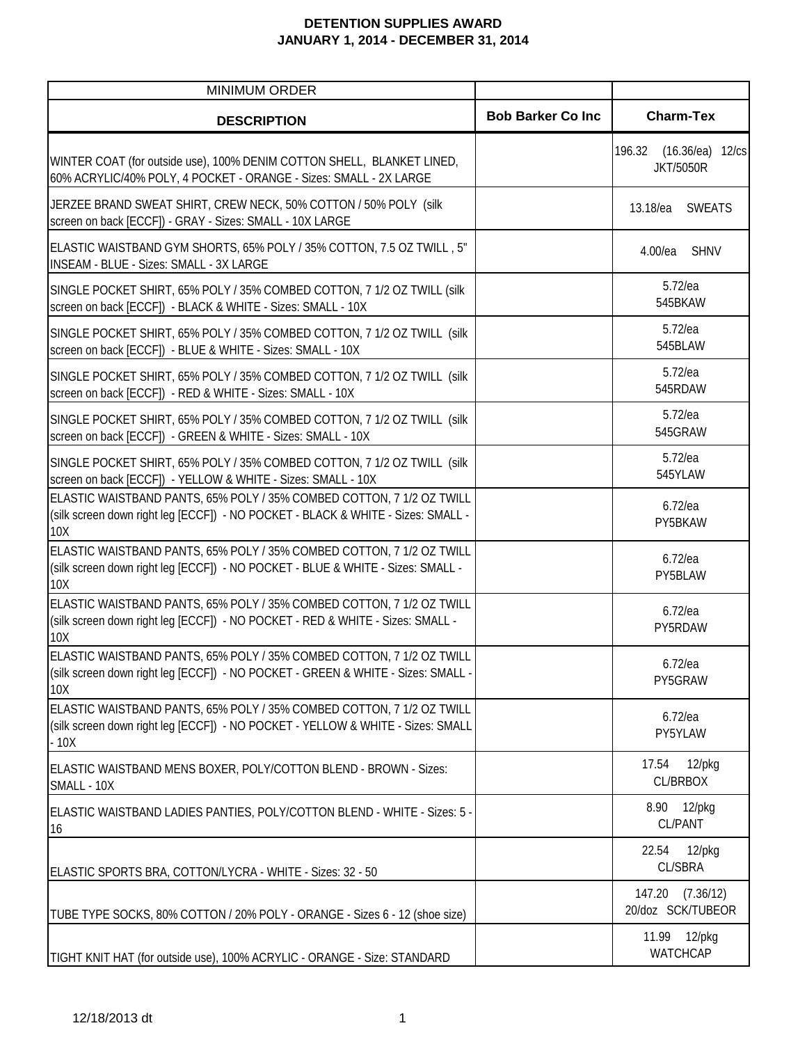| <b>MINIMUM ORDER</b>                                                                                                                                               |                           |                                                  |
|--------------------------------------------------------------------------------------------------------------------------------------------------------------------|---------------------------|--------------------------------------------------|
| <b>DESCRIPTION</b>                                                                                                                                                 | <b>Bob Barker Co Inc.</b> | <b>Charm-Tex</b>                                 |
| WINTER COAT (for outside use), 100% DENIM COTTON SHELL, BLANKET LINED,<br>60% ACRYLIC/40% POLY, 4 POCKET - ORANGE - Sizes: SMALL - 2X LARGE                        |                           | $(16.36/ea)$ 12/cs<br>196.32<br><b>JKT/5050R</b> |
| JERZEE BRAND SWEAT SHIRT, CREW NECK, 50% COTTON / 50% POLY (silk<br>screen on back [ECCF]) - GRAY - Sizes: SMALL - 10X LARGE                                       |                           | 13.18/ea<br><b>SWEATS</b>                        |
| ELASTIC WAISTBAND GYM SHORTS, 65% POLY / 35% COTTON, 7.5 OZ TWILL, 5"<br><b>INSEAM - BLUE - Sizes: SMALL - 3X LARGE</b>                                            |                           | $4.00$ /ea<br><b>SHNV</b>                        |
| SINGLE POCKET SHIRT, 65% POLY / 35% COMBED COTTON, 7 1/2 OZ TWILL (silk<br>screen on back [ECCF]) - BLACK & WHITE - Sizes: SMALL - 10X                             |                           | $5.72$ /ea<br>545BKAW                            |
| SINGLE POCKET SHIRT, 65% POLY / 35% COMBED COTTON, 7 1/2 OZ TWILL (silk<br>screen on back [ECCF]) - BLUE & WHITE - Sizes: SMALL - 10X                              |                           | $5.72$ /ea<br>545BLAW                            |
| SINGLE POCKET SHIRT, 65% POLY / 35% COMBED COTTON, 7 1/2 OZ TWILL (silk)<br>screen on back [ECCF]) - RED & WHITE - Sizes: SMALL - 10X                              |                           | $5.72$ /ea<br>545RDAW                            |
| SINGLE POCKET SHIRT, 65% POLY / 35% COMBED COTTON, 7 1/2 OZ TWILL (silk<br>screen on back [ECCF]) - GREEN & WHITE - Sizes: SMALL - 10X                             |                           | $5.72$ /ea<br>545GRAW                            |
| SINGLE POCKET SHIRT, 65% POLY / 35% COMBED COTTON, 7 1/2 OZ TWILL (silk<br>screen on back [ECCF]) - YELLOW & WHITE - Sizes: SMALL - 10X                            |                           | $5.72$ /ea<br>545YLAW                            |
| ELASTIC WAISTBAND PANTS, 65% POLY / 35% COMBED COTTON, 7 1/2 OZ TWILL<br>(silk screen down right leg [ECCF]) - NO POCKET - BLACK & WHITE - Sizes: SMALL -<br>10X   |                           | $6.72$ /ea<br>PY5BKAW                            |
| ELASTIC WAISTBAND PANTS, 65% POLY / 35% COMBED COTTON, 7 1/2 OZ TWILL<br>(silk screen down right leg [ECCF]) - NO POCKET - BLUE & WHITE - Sizes: SMALL -<br>10X    |                           | $6.72$ /ea<br>PY5BLAW                            |
| ELASTIC WAISTBAND PANTS, 65% POLY / 35% COMBED COTTON, 7 1/2 OZ TWILL<br>(silk screen down right leg [ECCF]) - NO POCKET - RED & WHITE - Sizes: SMALL -<br>10X     |                           | $6.72$ /ea<br>PY5RDAW                            |
| ELASTIC WAISTBAND PANTS, 65% POLY / 35% COMBED COTTON, 7 1/2 OZ TWILL<br>(silk screen down right leg [ECCF]) - NO POCKET - GREEN & WHITE - Sizes: SMALL -<br>10X   |                           | $6.72$ /ea<br>PY5GRAW                            |
| ELASTIC WAISTBAND PANTS, 65% POLY / 35% COMBED COTTON, 7 1/2 OZ TWILL<br>(silk screen down right leg [ECCF]) - NO POCKET - YELLOW & WHITE - Sizes: SMALL<br>$-10X$ |                           | $6.72$ /ea<br>PY5YLAW                            |
| ELASTIC WAISTBAND MENS BOXER, POLY/COTTON BLEND - BROWN - Sizes:<br>SMALL - 10X                                                                                    |                           | $12$ /pkg<br>17.54<br>CL/BRBOX                   |
| ELASTIC WAISTBAND LADIES PANTIES, POLY/COTTON BLEND - WHITE - Sizes: 5 -<br>16                                                                                     |                           | 8.90 12/pkg<br><b>CL/PANT</b>                    |
| ELASTIC SPORTS BRA, COTTON/LYCRA - WHITE - Sizes: 32 - 50                                                                                                          |                           | 22.54<br>$12$ /pkg<br><b>CL/SBRA</b>             |
| TUBE TYPE SOCKS, 80% COTTON / 20% POLY - ORANGE - Sizes 6 - 12 (shoe size)                                                                                         |                           | 147.20<br>(7.36/12)<br>20/doz SCK/TUBEOR         |
| TIGHT KNIT HAT (for outside use), 100% ACRYLIC - ORANGE - Size: STANDARD                                                                                           |                           | 11.99 12/pkg<br>WATCHCAP                         |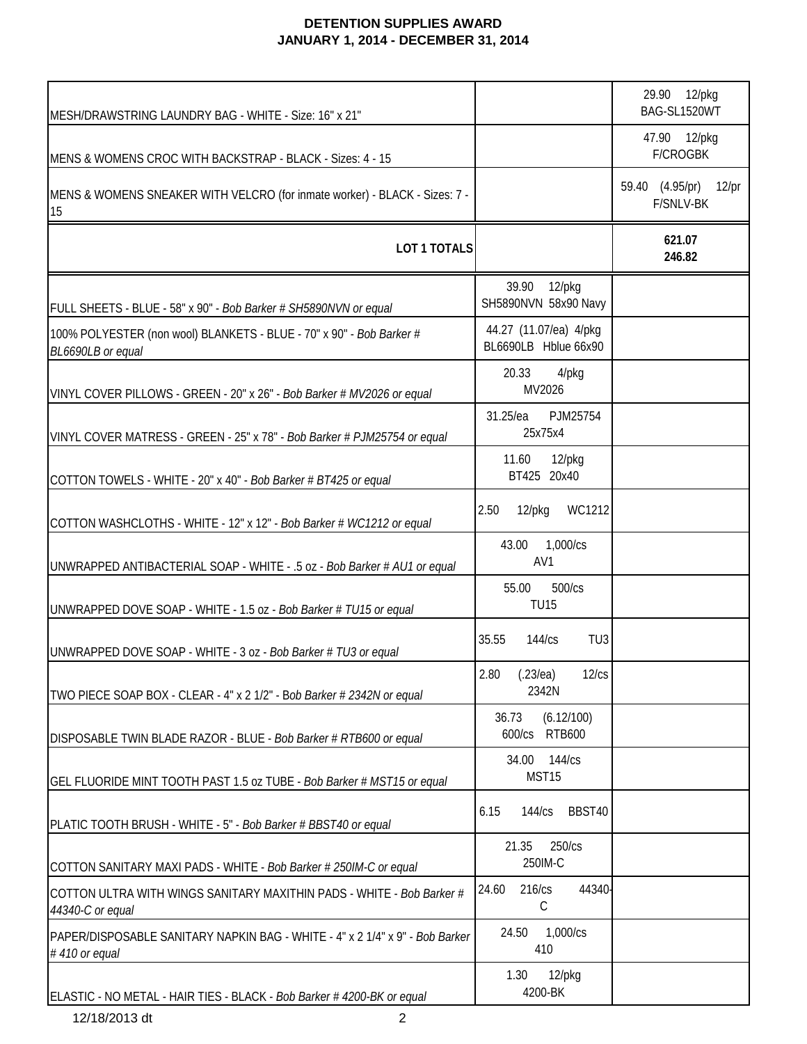| MESH/DRAWSTRING LAUNDRY BAG - WHITE - Size: 16" x 21"                                         |                                                | 29.90 12/pkg<br>BAG-SL1520WT                    |
|-----------------------------------------------------------------------------------------------|------------------------------------------------|-------------------------------------------------|
| MENS & WOMENS CROC WITH BACKSTRAP - BLACK - Sizes: 4 - 15                                     |                                                | 47.90 12/pkg<br><b>F/CROGBK</b>                 |
| MENS & WOMENS SNEAKER WITH VELCRO (for inmate worker) - BLACK - Sizes: 7 -<br>15              |                                                | 59.40 (4.95/pr)<br>$12$ /pr<br><b>F/SNLV-BK</b> |
| LOT 1 TOTALS                                                                                  |                                                | 621.07<br>246.82                                |
| FULL SHEETS - BLUE - 58" x 90" - Bob Barker # SH5890NVN or equal                              | 39.90<br>12/pkg<br>SH5890NVN 58x90 Navy        |                                                 |
| 100% POLYESTER (non wool) BLANKETS - BLUE - 70" x 90" - Bob Barker #<br>BL6690LB or equal     | 44.27 (11.07/ea) 4/pkg<br>BL6690LB Hblue 66x90 |                                                 |
| VINYL COVER PILLOWS - GREEN - 20" x 26" - Bob Barker # MV2026 or equal                        | 20.33<br>4/pkg<br>MV2026                       |                                                 |
| VINYL COVER MATRESS - GREEN - 25" x 78" - Bob Barker # PJM25754 or equal                      | 31.25/ea<br>PJM25754<br>25x75x4                |                                                 |
| COTTON TOWELS - WHITE - 20" x 40" - Bob Barker # BT425 or equal                               | 11.60<br>12/pkg<br>BT425 20x40                 |                                                 |
| COTTON WASHCLOTHS - WHITE - 12" x 12" - Bob Barker # WC1212 or equal                          | WC1212<br>2.50<br>12/pkg                       |                                                 |
| UNWRAPPED ANTIBACTERIAL SOAP - WHITE - .5 oz - Bob Barker # AU1 or equal                      | 43.00<br>1,000/cs<br>AV1                       |                                                 |
| UNWRAPPED DOVE SOAP - WHITE - 1.5 oz - Bob Barker # TU15 or equal                             | 500/cs<br>55.00<br><b>TU15</b>                 |                                                 |
| UNWRAPPED DOVE SOAP - WHITE - 3 oz - Bob Barker # TU3 or equal                                | 35.55<br>144/cs<br>TU <sub>3</sub>             |                                                 |
| TWO PIECE SOAP BOX - CLEAR - 4" x 2 1/2" - Bob Barker # 2342N or equal                        | 2.80 (.23/ea) 12/cs<br>2342N                   |                                                 |
| DISPOSABLE TWIN BLADE RAZOR - BLUE - Bob Barker # RTB600 or equal                             | (6.12/100)<br>36.73<br>600/cs RTB600           |                                                 |
| GEL FLUORIDE MINT TOOTH PAST 1.5 oz TUBE - Bob Barker # MST15 or equal                        | 34.00 144/cs<br>MST15                          |                                                 |
| PLATIC TOOTH BRUSH - WHITE - 5" - Bob Barker # BBST40 or equal                                | 6.15<br>BBST40<br>144/cs                       |                                                 |
| COTTON SANITARY MAXI PADS - WHITE - Bob Barker # 250IM-C or equal                             | 250/cs<br>21.35<br>250IM-C                     |                                                 |
| COTTON ULTRA WITH WINGS SANITARY MAXITHIN PADS - WHITE - Bob Barker #<br>44340-C or equal     | 44340<br>216/cs<br>24.60<br>C                  |                                                 |
| PAPER/DISPOSABLE SANITARY NAPKIN BAG - WHITE - 4" x 2 1/4" x 9" - Bob Barker<br>#410 or equal | 1,000/cs<br>24.50<br>410                       |                                                 |
| ELASTIC - NO METAL - HAIR TIES - BLACK - Bob Barker # 4200-BK or equal                        | 1.30<br>$12$ /pkg<br>4200-BK                   |                                                 |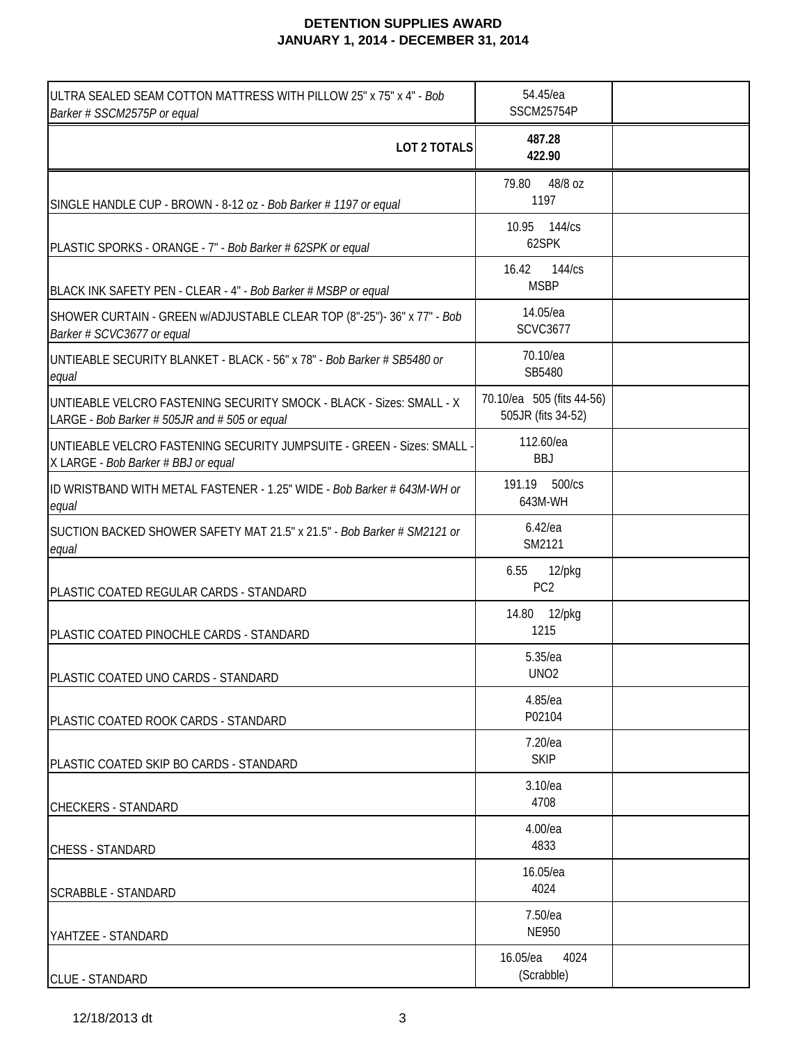| ULTRA SEALED SEAM COTTON MATTRESS WITH PILLOW 25" x 75" x 4" - Bob<br>Barker # SSCM2575P or equal                     | 54.45/ea<br>SSCM25754P                          |  |
|-----------------------------------------------------------------------------------------------------------------------|-------------------------------------------------|--|
| LOT 2 TOTALS                                                                                                          | 487.28<br>422.90                                |  |
| SINGLE HANDLE CUP - BROWN - 8-12 oz - Bob Barker # 1197 or equal                                                      | 48/8 oz<br>79.80<br>1197                        |  |
| PLASTIC SPORKS - ORANGE - 7" - Bob Barker # 62SPK or equal                                                            | 10.95 144/cs<br>62SPK                           |  |
| BLACK INK SAFETY PEN - CLEAR - 4" - Bob Barker # MSBP or equal                                                        | 16.42<br>144/cs<br><b>MSBP</b>                  |  |
| SHOWER CURTAIN - GREEN w/ADJUSTABLE CLEAR TOP (8"-25")-36" x 77" - Bob<br>Barker # SCVC3677 or equal                  | 14.05/ea<br><b>SCVC3677</b>                     |  |
| UNTIEABLE SECURITY BLANKET - BLACK - 56" x 78" - Bob Barker # SB5480 or<br>equal                                      | 70.10/ea<br>SB5480                              |  |
| UNTIEABLE VELCRO FASTENING SECURITY SMOCK - BLACK - Sizes: SMALL - X<br>LARGE - Bob Barker # 505JR and # 505 or equal | 70.10/ea 505 (fits 44-56)<br>505JR (fits 34-52) |  |
| UNTIEABLE VELCRO FASTENING SECURITY JUMPSUITE - GREEN - Sizes: SMALL -<br>X LARGE - Bob Barker # BBJ or equal         | 112.60/ea<br><b>BBJ</b>                         |  |
| ID WRISTBAND WITH METAL FASTENER - 1.25" WIDE - Bob Barker # 643M-WH or<br>equal                                      | 191.19 500/cs<br>643M-WH                        |  |
| SUCTION BACKED SHOWER SAFETY MAT 21.5" x 21.5" - Bob Barker # SM2121 or<br>equal                                      | $6.42$ /ea<br>SM2121                            |  |
| PLASTIC COATED REGULAR CARDS - STANDARD                                                                               | $12$ /pkg<br>6.55<br>PC <sub>2</sub>            |  |
| PLASTIC COATED PINOCHLE CARDS - STANDARD                                                                              | 14.80 12/pkg<br>1215                            |  |
| PLASTIC COATED UNO CARDS - STANDARD                                                                                   | 5.35/ea<br>UNO <sub>2</sub>                     |  |
| PLASTIC COATED ROOK CARDS - STANDARD                                                                                  | 4.85/ea<br>P02104                               |  |
| PLASTIC COATED SKIP BO CARDS - STANDARD                                                                               | 7.20/ea<br><b>SKIP</b>                          |  |
| <b>CHECKERS - STANDARD</b>                                                                                            | 3.10/ea<br>4708                                 |  |
| <b>CHESS - STANDARD</b>                                                                                               | 4.00/ea<br>4833                                 |  |
| <b>SCRABBLE - STANDARD</b>                                                                                            | 16.05/ea<br>4024                                |  |
| YAHTZEE - STANDARD                                                                                                    | 7.50/ea<br><b>NE950</b>                         |  |
| <b>CLUE - STANDARD</b>                                                                                                | 4024<br>16.05/ea<br>(Scrabble)                  |  |